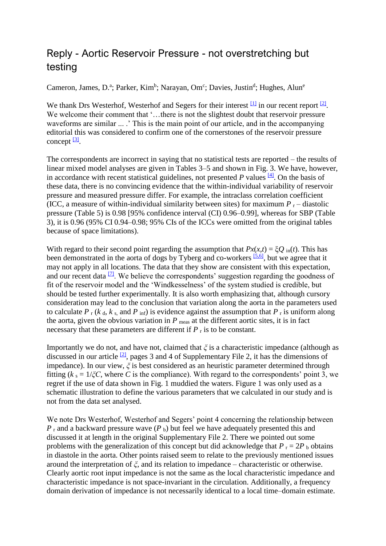## Reply - Aortic Reservoir Pressure - not overstretching but testing

Cameron, James, D.<sup>a</sup>; Parker, Kim<sup>b</sup>; Narayan, Om<sup>c</sup>; Davies, Justin<sup>d</sup>; Hughes, Alun<sup>e</sup>

We thank Drs Westerhof, Westerhof and Segers for their interest  $\frac{11}{11}$  in our recent report  $\frac{12}{11}$ . We welcome their comment that '...there is not the slightest doubt that reservoir pressure waveforms are similar ... .' This is the main point of our article, and in the accompanying editorial this was considered to confirm one of the cornerstones of the reservoir pressure concept <sup>[\[3\]](https://journals.lww.com/jhypertension/Fulltext/2018/04000/Reply___Aortic_Reservoir_Pressure___not.37.aspx#R3-37)</sup>.

The correspondents are incorrect in saying that no statistical tests are reported – the results of linear mixed model analyses are given in Tables 3–5 and shown in Fig. 3. We have, however, in accordance with recent statistical guidelines, not presented  $P$  values  $[4]$ . On the basis of these data, there is no convincing evidence that the within-individual variability of reservoir pressure and measured pressure differ. For example, the intraclass correlation coefficient (ICC, a measure of within-individual similarity between sites) for maximum  $P_r$  – diastolic pressure (Table 5) is 0.98 [95% confidence interval (CI) 0.96–0.99], whereas for SBP (Table 3), it is 0.96 (95% CI 0.94–0.98; 95% CIs of the ICCs were omitted from the original tables because of space limitations).

With regard to their second point regarding the assumption that  $Px(x,t) = \xi Q_{in}(t)$ . This has been demonstrated in the aorta of dogs by Tyberg and co-workers <sup>[\[5,6\]](https://journals.lww.com/jhypertension/Fulltext/2018/04000/Reply___Aortic_Reservoir_Pressure___not.37.aspx#R5-37)</sup>, but we agree that it may not apply in all locations. The data that they show are consistent with this expectation, and our recent data  $\frac{1}{2}$ . We believe the correspondents' suggestion regarding the goodness of fit of the reservoir model and the 'Windkesselness' of the system studied is credible, but should be tested further experimentally. It is also worth emphasizing that, although cursory consideration may lead to the conclusion that variation along the aorta in the parameters used to calculate  $P_r$  ( $k_d$ ,  $k_s$ , and  $P_{inf}$ ) is evidence against the assumption that  $P_r$  is uniform along the aorta, given the obvious variation in  $P_{\text{meas}}$  at the different aortic sites, it is in fact necessary that these parameters are different if  $P_r$  is to be constant.

Importantly we do not, and have not, claimed that *ξ* is a characteristic impedance (although as discussed in our article  $[2]$ , pages 3 and 4 of Supplementary File 2, it has the dimensions of impedance). In our view, *ξ* is best considered as an heuristic parameter determined through fitting ( $k_s = 1/\xi C$ , where *C* is the compliance). With regard to the correspondents' point 3, we regret if the use of data shown in Fig. 1 muddied the waters. Figure 1 was only used as a schematic illustration to define the various parameters that we calculated in our study and is not from the data set analysed.

We note Drs Westerhof, Westerhof and Segers' point 4 concerning the relationship between  $P_r$  and a backward pressure wave ( $P_b$ ) but feel we have adequately presented this and discussed it at length in the original Supplementary File 2. There we pointed out some problems with the generalization of this concept but did acknowledge that  $P_r = 2P_b$  obtains in diastole in the aorta. Other points raised seem to relate to the previously mentioned issues around the interpretation of *ξ*, and its relation to impedance – characteristic or otherwise. Clearly aortic root input impedance is not the same as the local characteristic impedance and characteristic impedance is not space-invariant in the circulation. Additionally, a frequency domain derivation of impedance is not necessarily identical to a local time–domain estimate.